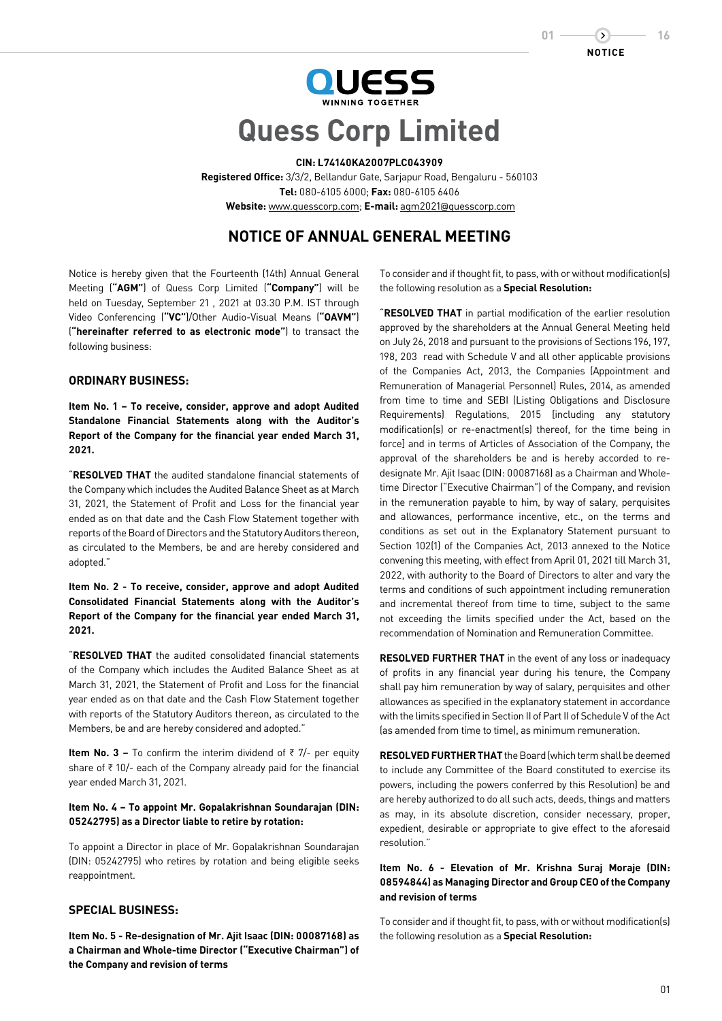



# **Quess Corp Limited**

#### **CIN: L74140KA2007PLC043909**

**Registered Office:** 3/3/2, Bellandur Gate, Sarjapur Road, Bengaluru - 560103 **Tel:** 080-6105 6000; **Fax:** 080-6105 6406 **Website:** www.quesscorp.com; **E-mail:** agm2021@quesscorp.com

# **NOTICE OF ANNUAL GENERAL MEETING**

Notice is hereby given that the Fourteenth (14th) Annual General Meeting (**"AGM"**) of Quess Corp Limited (**"Company"**) will be held on Tuesday, September 21 , 2021 at 03.30 P.M. IST through Video Conferencing (**"VC"**)/Other Audio-Visual Means (**"OAVM"**) (**"hereinafter referred to as electronic mode"**) to transact the following business:

## **ORDINARY BUSINESS:**

**Item No. 1 – To receive, consider, approve and adopt Audited Standalone Financial Statements along with the Auditor's Report of the Company for the financial year ended March 31, 2021.**

"**RESOLVED THAT** the audited standalone financial statements of the Company which includes the Audited Balance Sheet as at March 31, 2021, the Statement of Profit and Loss for the financial year ended as on that date and the Cash Flow Statement together with reports of the Board of Directors and the Statutory Auditors thereon, as circulated to the Members, be and are hereby considered and adopted."

**Item No. 2 - To receive, consider, approve and adopt Audited Consolidated Financial Statements along with the Auditor's Report of the Company for the financial year ended March 31, 2021.**

"**RESOLVED THAT** the audited consolidated financial statements of the Company which includes the Audited Balance Sheet as at March 31, 2021, the Statement of Profit and Loss for the financial year ended as on that date and the Cash Flow Statement together with reports of the Statutory Auditors thereon, as circulated to the Members, be and are hereby considered and adopted."

**Item No. 3 –** To confirm the interim dividend of  $\overline{\zeta}$  7/- per equity share of  $\bar{\tau}$  10/- each of the Company already paid for the financial year ended March 31, 2021.

## **Item No. 4 – To appoint Mr. Gopalakrishnan Soundarajan (DIN: 05242795) as a Director liable to retire by rotation:**

To appoint a Director in place of Mr. Gopalakrishnan Soundarajan (DIN: 05242795) who retires by rotation and being eligible seeks reappointment.

# **SPECIAL BUSINESS:**

**Item No. 5 - Re-designation of Mr. Ajit Isaac (DIN: 00087168) as a Chairman and Whole-time Director ("Executive Chairman") of the Company and revision of terms**

To consider and if thought fit, to pass, with or without modification(s) the following resolution as a **Special Resolution:**

"**RESOLVED THAT** in partial modification of the earlier resolution approved by the shareholders at the Annual General Meeting held on July 26, 2018 and pursuant to the provisions of Sections 196, 197, 198, 203 read with Schedule V and all other applicable provisions of the Companies Act, 2013, the Companies (Appointment and Remuneration of Managerial Personnel) Rules, 2014, as amended from time to time and SEBI (Listing Obligations and Disclosure Requirements) Regulations, 2015 [including any statutory modification(s) or re-enactment(s) thereof, for the time being in force] and in terms of Articles of Association of the Company, the approval of the shareholders be and is hereby accorded to redesignate Mr. Ajit Isaac (DIN: 00087168) as a Chairman and Wholetime Director ("Executive Chairman") of the Company, and revision in the remuneration payable to him, by way of salary, perquisites and allowances, performance incentive, etc., on the terms and conditions as set out in the Explanatory Statement pursuant to Section 102(1) of the Companies Act, 2013 annexed to the Notice convening this meeting, with effect from April 01, 2021 till March 31, 2022, with authority to the Board of Directors to alter and vary the terms and conditions of such appointment including remuneration and incremental thereof from time to time, subject to the same not exceeding the limits specified under the Act, based on the recommendation of Nomination and Remuneration Committee.

**RESOLVED FURTHER THAT** in the event of any loss or inadequacy of profits in any financial year during his tenure, the Company shall pay him remuneration by way of salary, perquisites and other allowances as specified in the explanatory statement in accordance with the limits specified in Section II of Part II of Schedule V of the Act (as amended from time to time), as minimum remuneration.

**RESOLVED FURTHER THAT** the Board (which term shall be deemed to include any Committee of the Board constituted to exercise its powers, including the powers conferred by this Resolution) be and are hereby authorized to do all such acts, deeds, things and matters as may, in its absolute discretion, consider necessary, proper, expedient, desirable or appropriate to give effect to the aforesaid resolution."

# **Item No. 6 - Elevation of Mr. Krishna Suraj Moraje (DIN: 08594844) as Managing Director and Group CEO of the Company and revision of terms**

To consider and if thought fit, to pass, with or without modification(s) the following resolution as a **Special Resolution:**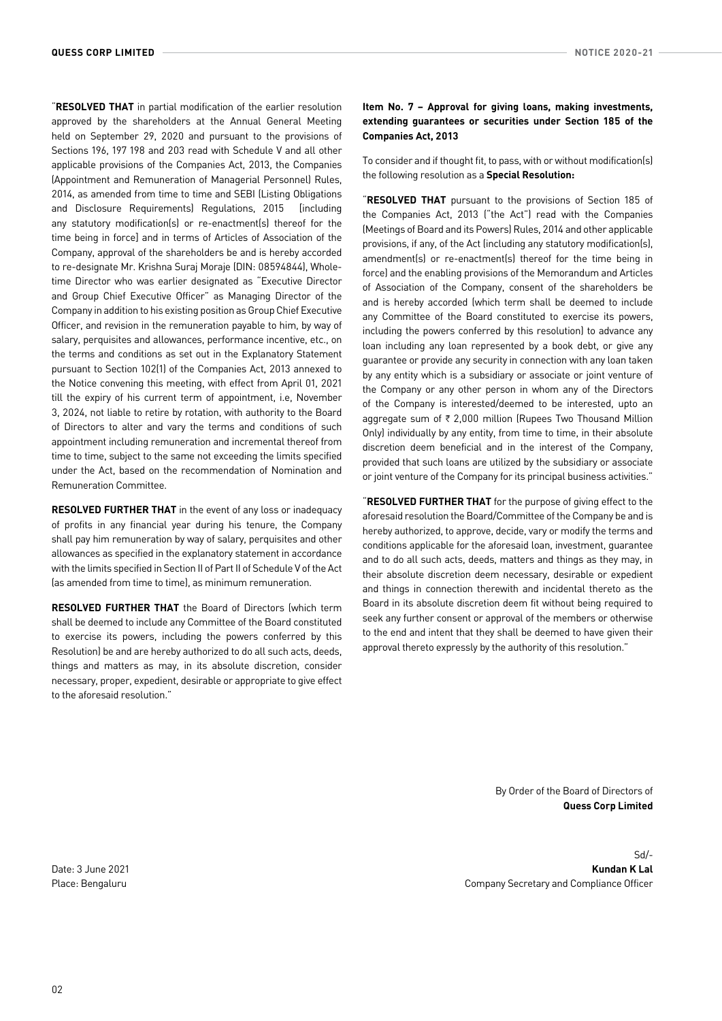"**RESOLVED THAT** in partial modification of the earlier resolution approved by the shareholders at the Annual General Meeting held on September 29, 2020 and pursuant to the provisions of Sections 196, 197 198 and 203 read with Schedule V and all other applicable provisions of the Companies Act, 2013, the Companies (Appointment and Remuneration of Managerial Personnel) Rules, 2014, as amended from time to time and SEBI (Listing Obligations and Disclosure Requirements) Regulations, 2015 [including any statutory modification(s) or re-enactment(s) thereof for the time being in force] and in terms of Articles of Association of the Company, approval of the shareholders be and is hereby accorded to re-designate Mr. Krishna Suraj Moraje (DIN: 08594844), Wholetime Director who was earlier designated as "Executive Director and Group Chief Executive Officer" as Managing Director of the Company in addition to his existing position as Group Chief Executive Officer, and revision in the remuneration payable to him, by way of salary, perquisites and allowances, performance incentive, etc., on the terms and conditions as set out in the Explanatory Statement pursuant to Section 102(1) of the Companies Act, 2013 annexed to the Notice convening this meeting, with effect from April 01, 2021 till the expiry of his current term of appointment, i.e, November 3, 2024, not liable to retire by rotation, with authority to the Board of Directors to alter and vary the terms and conditions of such appointment including remuneration and incremental thereof from time to time, subject to the same not exceeding the limits specified under the Act, based on the recommendation of Nomination and Remuneration Committee.

**RESOLVED FURTHER THAT** in the event of any loss or inadequacy of profits in any financial year during his tenure, the Company shall pay him remuneration by way of salary, perquisites and other allowances as specified in the explanatory statement in accordance with the limits specified in Section II of Part II of Schedule V of the Act (as amended from time to time), as minimum remuneration.

**RESOLVED FURTHER THAT** the Board of Directors (which term shall be deemed to include any Committee of the Board constituted to exercise its powers, including the powers conferred by this Resolution) be and are hereby authorized to do all such acts, deeds, things and matters as may, in its absolute discretion, consider necessary, proper, expedient, desirable or appropriate to give effect to the aforesaid resolution."

## **Item No. 7 – Approval for giving loans, making investments, extending guarantees or securities under Section 185 of the Companies Act, 2013**

To consider and if thought fit, to pass, with or without modification(s) the following resolution as a **Special Resolution:**

"**RESOLVED THAT** pursuant to the provisions of Section 185 of the Companies Act, 2013 ("the Act") read with the Companies (Meetings of Board and its Powers) Rules, 2014 and other applicable provisions, if any, of the Act (including any statutory modification(s), amendment(s) or re-enactment(s) thereof for the time being in force) and the enabling provisions of the Memorandum and Articles of Association of the Company, consent of the shareholders be and is hereby accorded (which term shall be deemed to include any Committee of the Board constituted to exercise its powers, including the powers conferred by this resolution) to advance any loan including any loan represented by a book debt, or give any guarantee or provide any security in connection with any loan taken by any entity which is a subsidiary or associate or joint venture of the Company or any other person in whom any of the Directors of the Company is interested/deemed to be interested, upto an aggregate sum of  $\bar{\tau}$  2,000 million (Rupees Two Thousand Million Only) individually by any entity, from time to time, in their absolute discretion deem beneficial and in the interest of the Company, provided that such loans are utilized by the subsidiary or associate or joint venture of the Company for its principal business activities."

"**RESOLVED FURTHER THAT** for the purpose of giving effect to the aforesaid resolution the Board/Committee of the Company be and is hereby authorized, to approve, decide, vary or modify the terms and conditions applicable for the aforesaid loan, investment, guarantee and to do all such acts, deeds, matters and things as they may, in their absolute discretion deem necessary, desirable or expedient and things in connection therewith and incidental thereto as the Board in its absolute discretion deem fit without being required to seek any further consent or approval of the members or otherwise to the end and intent that they shall be deemed to have given their approval thereto expressly by the authority of this resolution."

> By Order of the Board of Directors of **Quess Corp Limited**

Sd/- Date: 3 June 2021 **Kundan K Lal** Place: Bengaluru Company Secretary and Compliance Officer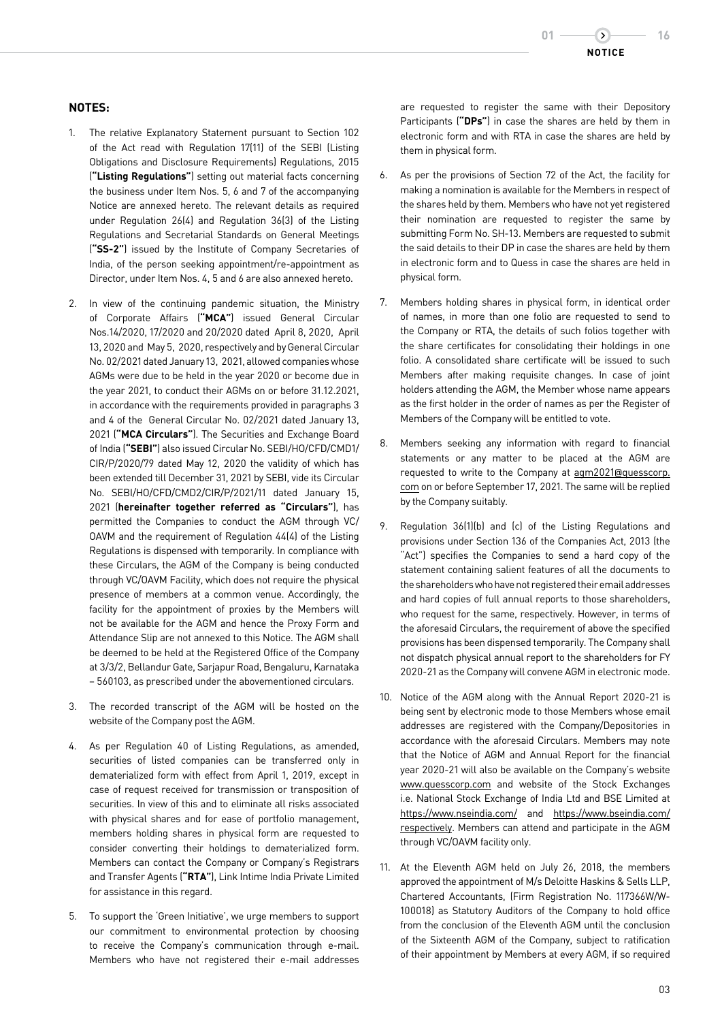# **NOTES:**

- 1. The relative Explanatory Statement pursuant to Section 102 of the Act read with Regulation 17(11) of the SEBI (Listing Obligations and Disclosure Requirements) Regulations, 2015 (**"Listing Regulations"**) setting out material facts concerning the business under Item Nos. 5, 6 and 7 of the accompanying Notice are annexed hereto. The relevant details as required under Regulation 26(4) and Regulation 36(3) of the Listing Regulations and Secretarial Standards on General Meetings (**"SS-2"**) issued by the Institute of Company Secretaries of India, of the person seeking appointment/re-appointment as Director, under Item Nos. 4, 5 and 6 are also annexed hereto.
- 2. In view of the continuing pandemic situation, the Ministry of Corporate Affairs (**"MCA"**) issued General Circular Nos.14/2020, 17/2020 and 20/2020 dated April 8, 2020, April 13, 2020 and May 5, 2020, respectively and by General Circular No. 02/2021 dated January 13, 2021, allowed companies whose AGMs were due to be held in the year 2020 or become due in the year 2021, to conduct their AGMs on or before 31.12.2021, in accordance with the requirements provided in paragraphs 3 and 4 of the General Circular No. 02/2021 dated January 13, 2021 (**"MCA Circulars"**). The Securities and Exchange Board of India (**"SEBI"**) also issued Circular No. SEBI/HO/CFD/CMD1/ CIR/P/2020/79 dated May 12, 2020 the validity of which has been extended till December 31, 2021 by SEBI, vide its Circular No. SEBI/HO/CFD/CMD2/CIR/P/2021/11 dated January 15, 2021 (**hereinafter together referred as "Circulars"**), has permitted the Companies to conduct the AGM through VC/ OAVM and the requirement of Regulation 44(4) of the Listing Regulations is dispensed with temporarily. In compliance with these Circulars, the AGM of the Company is being conducted through VC/OAVM Facility, which does not require the physical presence of members at a common venue. Accordingly, the facility for the appointment of proxies by the Members will not be available for the AGM and hence the Proxy Form and Attendance Slip are not annexed to this Notice. The AGM shall be deemed to be held at the Registered Office of the Company at 3/3/2, Bellandur Gate, Sarjapur Road, Bengaluru, Karnataka – 560103, as prescribed under the abovementioned circulars.
- 3. The recorded transcript of the AGM will be hosted on the website of the Company post the AGM.
- 4. As per Regulation 40 of Listing Regulations, as amended, securities of listed companies can be transferred only in dematerialized form with effect from April 1, 2019, except in case of request received for transmission or transposition of securities. In view of this and to eliminate all risks associated with physical shares and for ease of portfolio management, members holding shares in physical form are requested to consider converting their holdings to dematerialized form. Members can contact the Company or Company's Registrars and Transfer Agents (**"RTA"**), Link Intime India Private Limited for assistance in this regard.
- 5. To support the 'Green Initiative', we urge members to support our commitment to environmental protection by choosing to receive the Company's communication through e-mail. Members who have not registered their e-mail addresses

are requested to register the same with their Depository Participants (**"DPs"**) in case the shares are held by them in electronic form and with RTA in case the shares are held by them in physical form.

- 6. As per the provisions of Section 72 of the Act, the facility for making a nomination is available for the Members in respect of the shares held by them. Members who have not yet registered their nomination are requested to register the same by submitting Form No. SH-13. Members are requested to submit the said details to their DP in case the shares are held by them in electronic form and to Quess in case the shares are held in physical form.
- 7. Members holding shares in physical form, in identical order of names, in more than one folio are requested to send to the Company or RTA, the details of such folios together with the share certificates for consolidating their holdings in one folio. A consolidated share certificate will be issued to such Members after making requisite changes. In case of joint holders attending the AGM, the Member whose name appears as the first holder in the order of names as per the Register of Members of the Company will be entitled to vote.
- 8. Members seeking any information with regard to financial statements or any matter to be placed at the AGM are requested to write to the Company at agm2021@quesscorp. com on or before September 17, 2021. The same will be replied by the Company suitably.
- 9. Regulation 36(1)(b) and (c) of the Listing Regulations and provisions under Section 136 of the Companies Act, 2013 (the "Act") specifies the Companies to send a hard copy of the statement containing salient features of all the documents to the shareholders who have not registered their email addresses and hard copies of full annual reports to those shareholders, who request for the same, respectively. However, in terms of the aforesaid Circulars, the requirement of above the specified provisions has been dispensed temporarily. The Company shall not dispatch physical annual report to the shareholders for FY 2020-21 as the Company will convene AGM in electronic mode.
- 10. Notice of the AGM along with the Annual Report 2020-21 is being sent by electronic mode to those Members whose email addresses are registered with the Company/Depositories in accordance with the aforesaid Circulars. Members may note that the Notice of AGM and Annual Report for the financial year 2020-21 will also be available on the Company's website www.quesscorp.com and website of the Stock Exchanges i.e. National Stock Exchange of India Ltd and BSE Limited at https://www.nseindia.com/ and https://www.bseindia.com/ respectively. Members can attend and participate in the AGM through VC/OAVM facility only.
- 11. At the Eleventh AGM held on July 26, 2018, the members approved the appointment of M/s Deloitte Haskins & Sells LLP, Chartered Accountants, (Firm Registration No. 117366W/W-100018) as Statutory Auditors of the Company to hold office from the conclusion of the Eleventh AGM until the conclusion of the Sixteenth AGM of the Company, subject to ratification of their appointment by Members at every AGM, if so required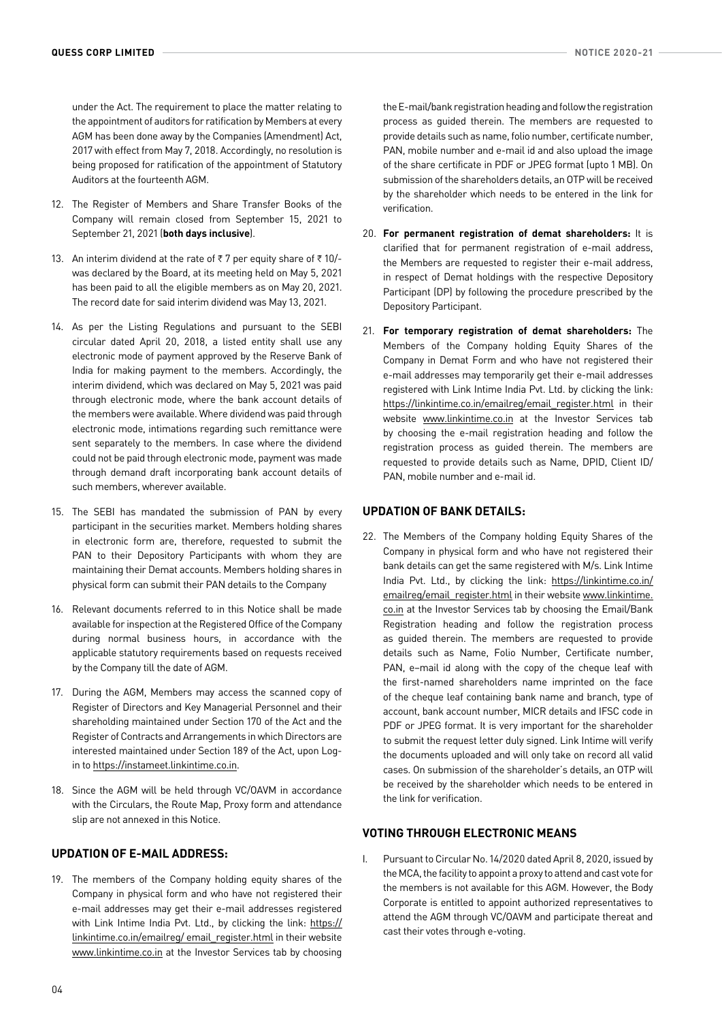under the Act. The requirement to place the matter relating to the appointment of auditors for ratification by Members at every AGM has been done away by the Companies (Amendment) Act, 2017 with effect from May 7, 2018. Accordingly, no resolution is being proposed for ratification of the appointment of Statutory Auditors at the fourteenth AGM.

- 12. The Register of Members and Share Transfer Books of the Company will remain closed from September 15, 2021 to September 21, 2021 (**both days inclusive**).
- 13. An interim dividend at the rate of  $\overline{\tau}$  7 per equity share of  $\overline{\tau}$  10/was declared by the Board, at its meeting held on May 5, 2021 has been paid to all the eligible members as on May 20, 2021. The record date for said interim dividend was May 13, 2021.
- 14. As per the Listing Regulations and pursuant to the SEBI circular dated April 20, 2018, a listed entity shall use any electronic mode of payment approved by the Reserve Bank of India for making payment to the members. Accordingly, the interim dividend, which was declared on May 5, 2021 was paid through electronic mode, where the bank account details of the members were available. Where dividend was paid through electronic mode, intimations regarding such remittance were sent separately to the members. In case where the dividend could not be paid through electronic mode, payment was made through demand draft incorporating bank account details of such members, wherever available.
- 15. The SEBI has mandated the submission of PAN by every participant in the securities market. Members holding shares in electronic form are, therefore, requested to submit the PAN to their Depository Participants with whom they are maintaining their Demat accounts. Members holding shares in physical form can submit their PAN details to the Company
- 16. Relevant documents referred to in this Notice shall be made available for inspection at the Registered Office of the Company during normal business hours, in accordance with the applicable statutory requirements based on requests received by the Company till the date of AGM.
- 17. During the AGM, Members may access the scanned copy of Register of Directors and Key Managerial Personnel and their shareholding maintained under Section 170 of the Act and the Register of Contracts and Arrangements in which Directors are interested maintained under Section 189 of the Act, upon Login to <https://instameet.linkintime.co.in>.
- 18. Since the AGM will be held through VC/OAVM in accordance with the Circulars, the Route Map, Proxy form and attendance slip are not annexed in this Notice.

# **UPDATION OF E-MAIL ADDRESS:**

19. The members of the Company holding equity shares of the Company in physical form and who have not registered their e-mail addresses may get their e-mail addresses registered with Link Intime India Pvt. Ltd., by clicking the link: https:// linkintime.co.in/emailreg/ email\_register.html in their website www.linkintime.co.in at the Investor Services tab by choosing

the E-mail/bank registration heading and follow the registration process as guided therein. The members are requested to provide details such as name, folio number, certificate number, PAN, mobile number and e-mail id and also upload the image of the share certificate in PDF or JPEG format (upto 1 MB). On submission of the shareholders details, an OTP will be received by the shareholder which needs to be entered in the link for verification.

- 20. **For permanent registration of demat shareholders:** It is clarified that for permanent registration of e-mail address, the Members are requested to register their e-mail address, in respect of Demat holdings with the respective Depository Participant (DP) by following the procedure prescribed by the Depository Participant.
- 21. **For temporary registration of demat shareholders:** The Members of the Company holding Equity Shares of the Company in Demat Form and who have not registered their e-mail addresses may temporarily get their e-mail addresses registered with Link Intime India Pvt. Ltd. by clicking the link: https://linkintime.co.in/emailreg/email\_register.html\_in\_their website www.linkintime.co.in at the Investor Services tab by choosing the e-mail registration heading and follow the registration process as guided therein. The members are requested to provide details such as Name, DPID, Client ID/ PAN, mobile number and e-mail id.

# **UPDATION OF BANK DETAILS:**

22. The Members of the Company holding Equity Shares of the Company in physical form and who have not registered their bank details can get the same registered with M/s. Link Intime India Pvt. Ltd., by clicking the link: https://linkintime.co.in/ emailreg/email\_register.html in their website www.linkintime. co.in at the Investor Services tab by choosing the Email/Bank Registration heading and follow the registration process as guided therein. The members are requested to provide details such as Name, Folio Number, Certificate number, PAN, e–mail id along with the copy of the cheque leaf with the first-named shareholders name imprinted on the face of the cheque leaf containing bank name and branch, type of account, bank account number, MICR details and IFSC code in PDF or JPEG format. It is very important for the shareholder to submit the request letter duly signed. Link Intime will verify the documents uploaded and will only take on record all valid cases. On submission of the shareholder's details, an OTP will be received by the shareholder which needs to be entered in the link for verification.

# **VOTING THROUGH ELECTRONIC MEANS**

I. Pursuant to Circular No. 14/2020 dated April 8, 2020, issued by the MCA, the facility to appoint a proxy to attend and cast vote for the members is not available for this AGM. However, the Body Corporate is entitled to appoint authorized representatives to attend the AGM through VC/OAVM and participate thereat and cast their votes through e-voting.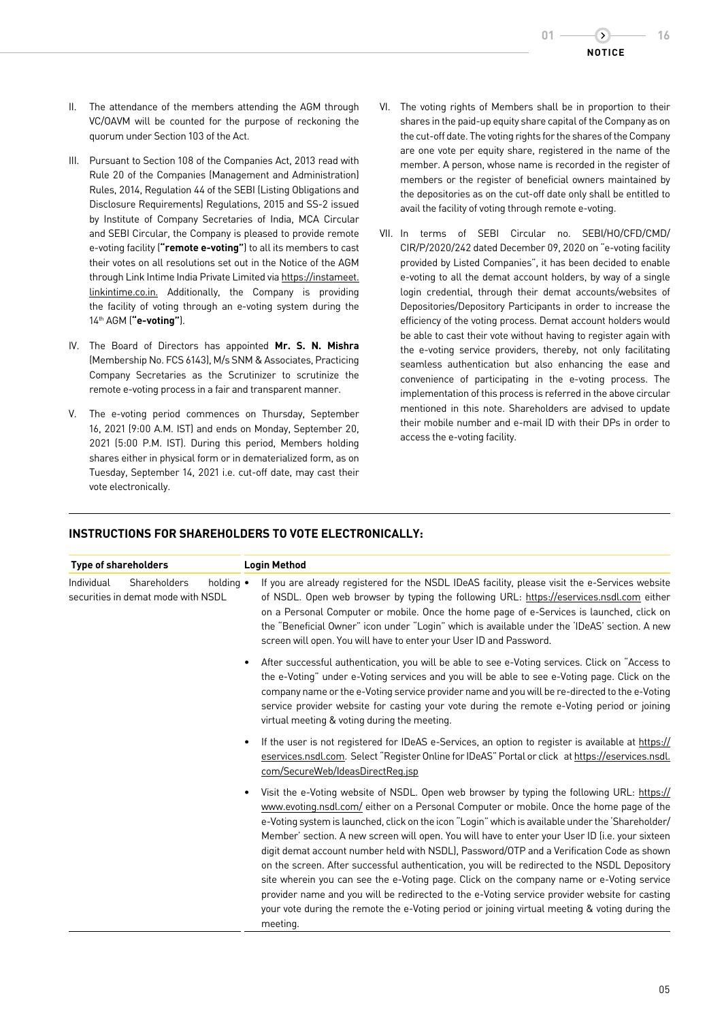- II. The attendance of the members attending the AGM through VC/OAVM will be counted for the purpose of reckoning the quorum under Section 103 of the Act.
- III. Pursuant to Section 108 of the Companies Act, 2013 read with Rule 20 of the Companies (Management and Administration) Rules, 2014, Regulation 44 of the SEBI (Listing Obligations and Disclosure Requirements) Regulations, 2015 and SS-2 issued by Institute of Company Secretaries of India, MCA Circular and SEBI Circular, the Company is pleased to provide remote e-voting facility (**"remote e-voting"**) to all its members to cast their votes on all resolutions set out in the Notice of the AGM through Link Intime India Private Limited via https://instameet. linkintime.co.in. Additionally, the Company is providing the facility of voting through an e-voting system during the 14th AGM (**"e-voting"**).
- IV. The Board of Directors has appointed **Mr. S. N. Mishra**  (Membership No. FCS 6143), M/s SNM & Associates, Practicing Company Secretaries as the Scrutinizer to scrutinize the remote e-voting process in a fair and transparent manner.
- V. The e-voting period commences on Thursday, September 16, 2021 (9:00 A.M. IST) and ends on Monday, September 20, 2021 (5:00 P.M. IST). During this period, Members holding shares either in physical form or in dematerialized form, as on Tuesday, September 14, 2021 i.e. cut-off date, may cast their vote electronically.
- VI. The voting rights of Members shall be in proportion to their shares in the paid-up equity share capital of the Company as on the cut-off date. The voting rights for the shares of the Company are one vote per equity share, registered in the name of the member. A person, whose name is recorded in the register of members or the register of beneficial owners maintained by the depositories as on the cut-off date only shall be entitled to avail the facility of voting through remote e-voting.
- VII. In terms of SEBI Circular no. SEBI/HO/CFD/CMD/ CIR/P/2020/242 dated December 09, 2020 on "e-voting facility provided by Listed Companies", it has been decided to enable e-voting to all the demat account holders, by way of a single login credential, through their demat accounts/websites of Depositories/Depository Participants in order to increase the efficiency of the voting process. Demat account holders would be able to cast their vote without having to register again with the e-voting service providers, thereby, not only facilitating seamless authentication but also enhancing the ease and convenience of participating in the e-voting process. The implementation of this process is referred in the above circular mentioned in this note. Shareholders are advised to update their mobile number and e-mail ID with their DPs in order to access the e-voting facility.

# **INSTRUCTIONS FOR SHAREHOLDERS TO VOTE ELECTRONICALLY:**

| <b>Type of shareholders</b> |                                                           |                   | <b>Login Method</b>                                                                                                                                                                                                                                                                                                                                                                                                                                                                                                                                                                                                                                                                                                                                                                                                                                                                                      |
|-----------------------------|-----------------------------------------------------------|-------------------|----------------------------------------------------------------------------------------------------------------------------------------------------------------------------------------------------------------------------------------------------------------------------------------------------------------------------------------------------------------------------------------------------------------------------------------------------------------------------------------------------------------------------------------------------------------------------------------------------------------------------------------------------------------------------------------------------------------------------------------------------------------------------------------------------------------------------------------------------------------------------------------------------------|
| Individual                  | <b>Shareholders</b><br>securities in demat mode with NSDL | holding $\bullet$ | If you are already registered for the NSDL IDeAS facility, please visit the e-Services website<br>of NSDL. Open web browser by typing the following URL: https://eservices.nsdl.com either<br>on a Personal Computer or mobile. Once the home page of e-Services is launched, click on<br>the "Beneficial Owner" icon under "Login" which is available under the 'IDeAS' section. A new<br>screen will open. You will have to enter your User ID and Password.                                                                                                                                                                                                                                                                                                                                                                                                                                           |
|                             |                                                           |                   | After successful authentication, you will be able to see e-Voting services. Click on "Access to<br>the e-Voting" under e-Voting services and you will be able to see e-Voting page. Click on the<br>company name or the e-Voting service provider name and you will be re-directed to the e-Voting<br>service provider website for casting your vote during the remote e-Voting period or joining<br>virtual meeting & voting during the meeting.                                                                                                                                                                                                                                                                                                                                                                                                                                                        |
|                             |                                                           |                   | If the user is not registered for IDeAS e-Services, an option to register is available at https://<br>eservices.nsdl.com. Select "Register Online for IDeAS" Portal or click at https://eservices.nsdl.<br>com/SecureWeb/IdeasDirectReg.jsp                                                                                                                                                                                                                                                                                                                                                                                                                                                                                                                                                                                                                                                              |
|                             |                                                           |                   | Visit the e-Voting website of NSDL. Open web browser by typing the following URL: https://<br>www.evoting.nsdl.com/ either on a Personal Computer or mobile. Once the home page of the<br>e-Voting system is launched, click on the icon "Login" which is available under the 'Shareholder/<br>Member' section. A new screen will open. You will have to enter your User ID (i.e. your sixteen<br>digit demat account number held with NSDL), Password/OTP and a Verification Code as shown<br>on the screen. After successful authentication, you will be redirected to the NSDL Depository<br>site wherein you can see the e-Voting page. Click on the company name or e-Voting service<br>provider name and you will be redirected to the e-Voting service provider website for casting<br>your vote during the remote the e-Voting period or joining virtual meeting & voting during the<br>meeting. |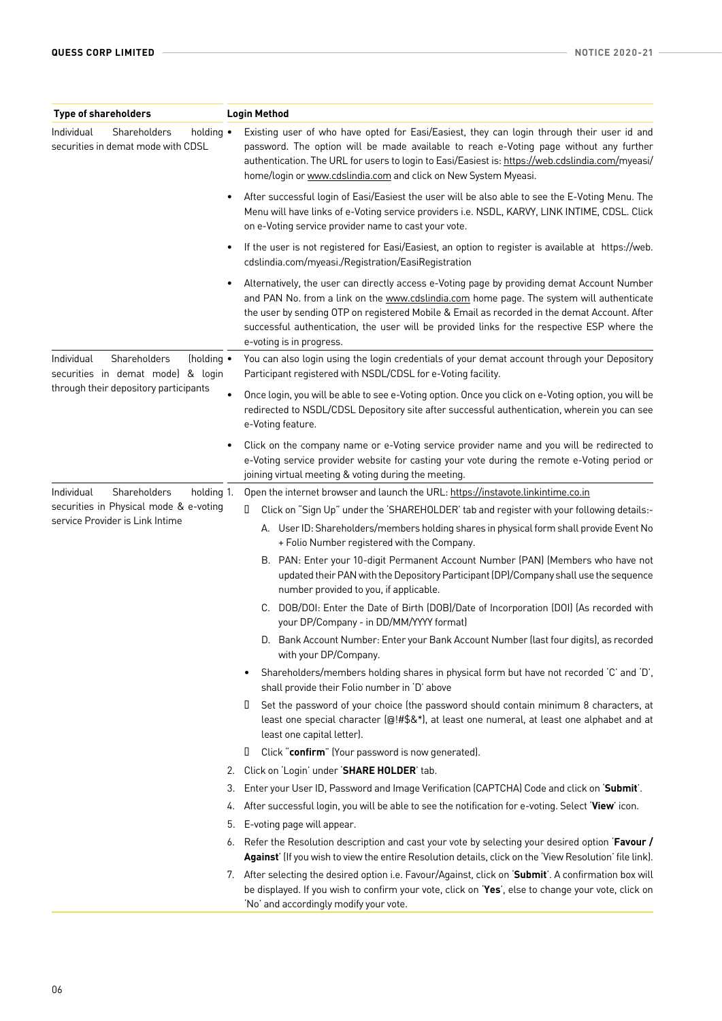| <b>Type of shareholders</b>                                                   | <b>Login Method</b>                                                                                                                                                                                                                                                                                                                                                                                                |
|-------------------------------------------------------------------------------|--------------------------------------------------------------------------------------------------------------------------------------------------------------------------------------------------------------------------------------------------------------------------------------------------------------------------------------------------------------------------------------------------------------------|
| Individual<br>Shareholders<br>holding •<br>securities in demat mode with CDSL | Existing user of who have opted for Easi/Easiest, they can login through their user id and<br>password. The option will be made available to reach e-Voting page without any further<br>authentication. The URL for users to login to Easi/Easiest is: https://web.cdslindia.com/myeasi/<br>home/login or www.cdslindia.com and click on New System Myeasi.                                                        |
|                                                                               | After successful login of Easi/Easiest the user will be also able to see the E-Voting Menu. The<br>Menu will have links of e-Voting service providers i.e. NSDL, KARVY, LINK INTIME, CDSL. Click<br>on e-Voting service provider name to cast your vote.                                                                                                                                                           |
|                                                                               | If the user is not registered for Easi/Easiest, an option to register is available at https://web.<br>cdslindia.com/myeasi./Registration/EasiRegistration                                                                                                                                                                                                                                                          |
|                                                                               | Alternatively, the user can directly access e-Voting page by providing demat Account Number<br>and PAN No. from a link on the www.cdslindia.com home page. The system will authenticate<br>the user by sending OTP on registered Mobile & Email as recorded in the demat Account. After<br>successful authentication, the user will be provided links for the respective ESP where the<br>e-voting is in progress. |
| Shareholders<br>(holding •<br>Individual<br>securities in demat mode) & login | You can also login using the login credentials of your demat account through your Depository<br>Participant registered with NSDL/CDSL for e-Voting facility.                                                                                                                                                                                                                                                       |
| through their depository participants                                         | Once login, you will be able to see e-Voting option. Once you click on e-Voting option, you will be<br>$\bullet$<br>redirected to NSDL/CDSL Depository site after successful authentication, wherein you can see<br>e-Voting feature.                                                                                                                                                                              |
|                                                                               | Click on the company name or e-Voting service provider name and you will be redirected to<br>e-Voting service provider website for casting your vote during the remote e-Voting period or<br>joining virtual meeting & voting during the meeting.                                                                                                                                                                  |
| Individual<br>Shareholders<br>holding 1.                                      | Open the internet browser and launch the URL: https://instavote.linkintime.co.in                                                                                                                                                                                                                                                                                                                                   |
| securities in Physical mode & e-voting<br>service Provider is Link Intime     | Click on "Sign Up" under the 'SHAREHOLDER' tab and register with your following details:-<br>$\Box$                                                                                                                                                                                                                                                                                                                |
|                                                                               | A. User ID: Shareholders/members holding shares in physical form shall provide Event No<br>+ Folio Number registered with the Company.                                                                                                                                                                                                                                                                             |
|                                                                               | B. PAN: Enter your 10-digit Permanent Account Number (PAN) (Members who have not<br>updated their PAN with the Depository Participant (DP)/Company shall use the sequence<br>number provided to you, if applicable.                                                                                                                                                                                                |
|                                                                               | C. DOB/DOI: Enter the Date of Birth (DOB)/Date of Incorporation (DOI) (As recorded with<br>your DP/Company - in DD/MM/YYYY format)                                                                                                                                                                                                                                                                                 |
|                                                                               | D. Bank Account Number: Enter your Bank Account Number (last four digits), as recorded<br>with your DP/Company.                                                                                                                                                                                                                                                                                                    |
|                                                                               | Shareholders/members holding shares in physical form but have not recorded 'C' and 'D',<br>٠<br>shall provide their Folio number in 'D' above                                                                                                                                                                                                                                                                      |
|                                                                               | Set the password of your choice (the password should contain minimum 8 characters, at<br>П<br>least one special character (@!#\$&*), at least one numeral, at least one alphabet and at<br>least one capital letter).                                                                                                                                                                                              |
|                                                                               | О<br>Click "confirm" (Your password is now generated).                                                                                                                                                                                                                                                                                                                                                             |
|                                                                               | 2. Click on 'Login' under 'SHARE HOLDER' tab.                                                                                                                                                                                                                                                                                                                                                                      |
|                                                                               | Enter your User ID, Password and Image Verification (CAPTCHA) Code and click on 'Submit'.<br>3.                                                                                                                                                                                                                                                                                                                    |
|                                                                               | After successful login, you will be able to see the notification for e-voting. Select 'View' icon.<br>4.                                                                                                                                                                                                                                                                                                           |
|                                                                               | 5.<br>E-voting page will appear.                                                                                                                                                                                                                                                                                                                                                                                   |
|                                                                               | 6. Refer the Resolution description and cast your vote by selecting your desired option 'Favour /<br>Against' (If you wish to view the entire Resolution details, click on the 'View Resolution' file link).                                                                                                                                                                                                       |
|                                                                               | 7. After selecting the desired option i.e. Favour/Against, click on 'Submit'. A confirmation box will<br>be displayed. If you wish to confirm your vote, click on 'Yes', else to change your vote, click on<br>'No' and accordingly modify your vote.                                                                                                                                                              |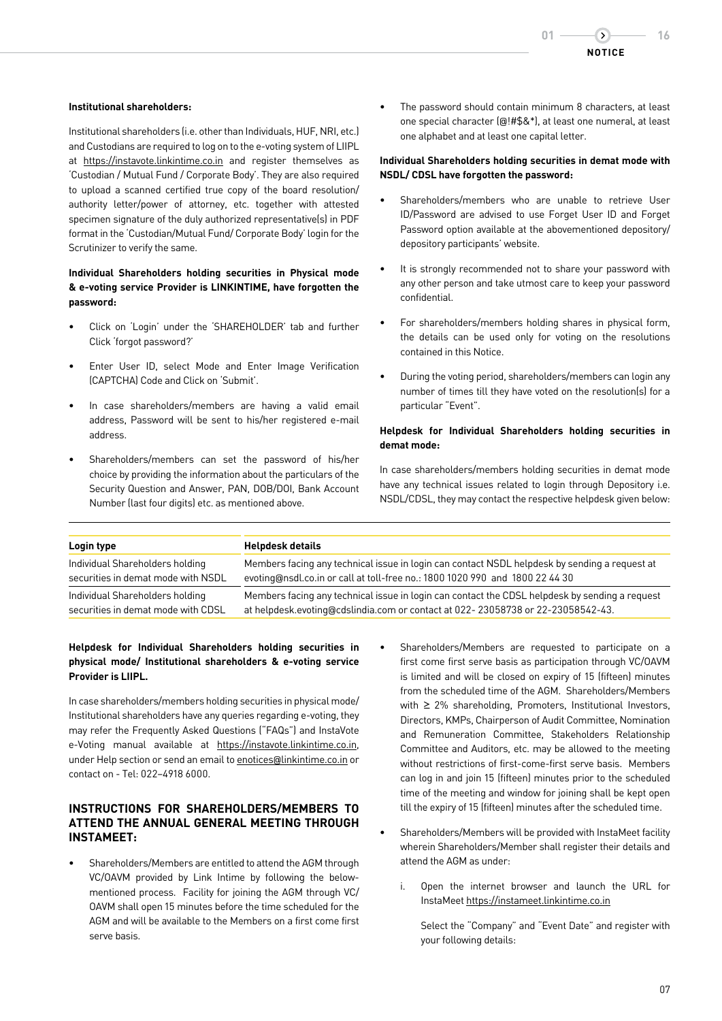#### **Institutional shareholders:**

Institutional shareholders (i.e. other than Individuals, HUF, NRI, etc.) and Custodians are required to log on to the e-voting system of LIIPL at https://instavote.linkintime.co.in and register themselves as 'Custodian / Mutual Fund / Corporate Body'. They are also required to upload a scanned certified true copy of the board resolution/ authority letter/power of attorney, etc. together with attested specimen signature of the duly authorized representative(s) in PDF format in the 'Custodian/Mutual Fund/ Corporate Body' login for the Scrutinizer to verify the same.

# **Individual Shareholders holding securities in Physical mode & e-voting service Provider is LINKINTIME, have forgotten the password:**

- Click on 'Login' under the 'SHAREHOLDER' tab and further Click 'forgot password?'
- Enter User ID, select Mode and Enter Image Verification (CAPTCHA) Code and Click on 'Submit'.
- In case shareholders/members are having a valid email address, Password will be sent to his/her registered e-mail address.
- Shareholders/members can set the password of his/her choice by providing the information about the particulars of the Security Question and Answer, PAN, DOB/DOI, Bank Account Number (last four digits) etc. as mentioned above.

The password should contain minimum 8 characters, at least one special character (@!#\$&\*), at least one numeral, at least one alphabet and at least one capital letter.

# **Individual Shareholders holding securities in demat mode with NSDL/ CDSL have forgotten the password:**

- Shareholders/members who are unable to retrieve User ID/Password are advised to use Forget User ID and Forget Password option available at the abovementioned depository/ depository participants' website.
- It is strongly recommended not to share your password with any other person and take utmost care to keep your password confidential.
- For shareholders/members holding shares in physical form, the details can be used only for voting on the resolutions contained in this Notice.
- During the voting period, shareholders/members can login any number of times till they have voted on the resolution(s) for a particular "Event".

## **Helpdesk for Individual Shareholders holding securities in demat mode:**

In case shareholders/members holding securities in demat mode have any technical issues related to login through Depository i.e. NSDL/CDSL, they may contact the respective helpdesk given below:

| Login type                         | <b>Helpdesk details</b>                                                                        |
|------------------------------------|------------------------------------------------------------------------------------------------|
| Individual Shareholders holding    | Members facing any technical issue in login can contact NSDL helpdesk by sending a request at  |
| securities in demat mode with NSDL | evoting@nsdl.co.in or call at toll-free no.: 1800 1020 990 and 1800 22 44 30                   |
| Individual Shareholders holding    | Members facing any technical issue in login can contact the CDSL helpdesk by sending a request |
| securities in demat mode with CDSL | at helpdesk.evoting@cdslindia.com or contact at 022-23058738 or 22-23058542-43.                |

## **Helpdesk for Individual Shareholders holding securities in physical mode/ Institutional shareholders & e-voting service Provider is LIIPL.**

In case shareholders/members holding securities in physical mode/ Institutional shareholders have any queries regarding e-voting, they may refer the Frequently Asked Questions ("FAQs") and InstaVote e-Voting manual available at https://instavote.linkintime.co.in, under Help section or send an email to enotices@linkintime.co.in or contact on - Tel: 022–4918 6000.

# **INSTRUCTIONS FOR SHAREHOLDERS/MEMBERS TO ATTEND THE ANNUAL GENERAL MEETING THROUGH INSTAMEET:**

- Shareholders/Members are entitled to attend the AGM through VC/OAVM provided by Link Intime by following the belowmentioned process. Facility for joining the AGM through VC/ OAVM shall open 15 minutes before the time scheduled for the AGM and will be available to the Members on a first come first serve basis.
- Shareholders/Members are requested to participate on a first come first serve basis as participation through VC/OAVM is limited and will be closed on expiry of 15 (fifteen) minutes from the scheduled time of the AGM. Shareholders/Members with ≥ 2% shareholding, Promoters, Institutional Investors, Directors, KMPs, Chairperson of Audit Committee, Nomination and Remuneration Committee, Stakeholders Relationship Committee and Auditors, etc. may be allowed to the meeting without restrictions of first-come-first serve basis. Members can log in and join 15 (fifteen) minutes prior to the scheduled time of the meeting and window for joining shall be kept open till the expiry of 15 (fifteen) minutes after the scheduled time.
- Shareholders/Members will be provided with InstaMeet facility wherein Shareholders/Member shall register their details and attend the AGM as under:
	- i. Open the internet browser and launch the URL for InstaMeet https://instameet.linkintime.co.in

 Select the "Company" and "Event Date" and register with your following details: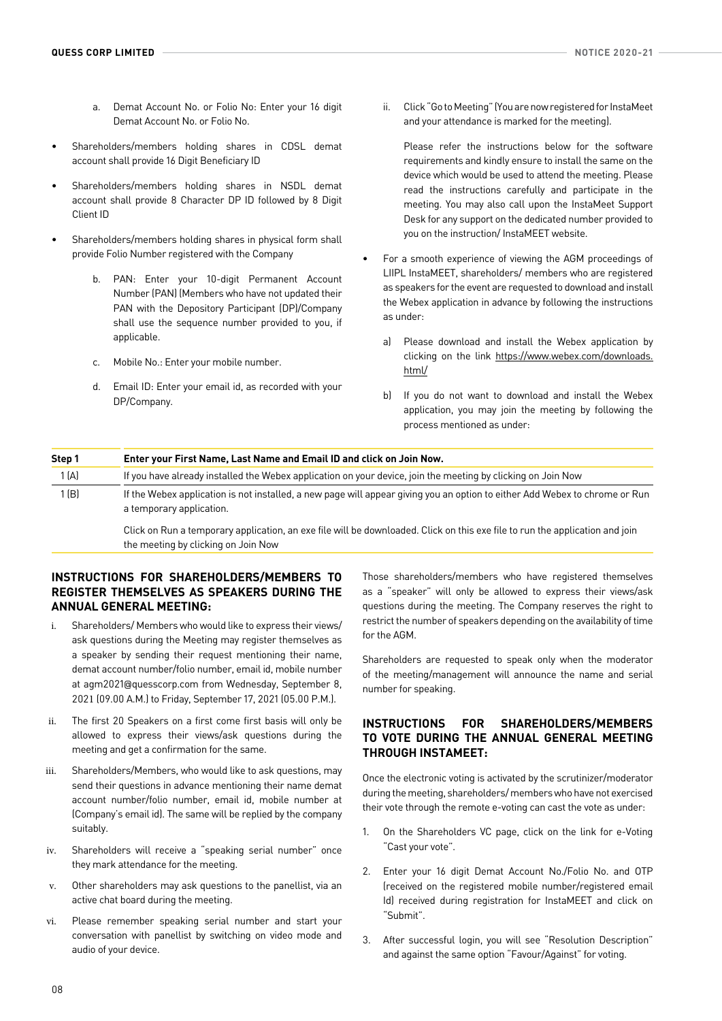- a. Demat Account No. or Folio No: Enter your 16 digit Demat Account No. or Folio No.
- Shareholders/members holding shares in CDSL demat account shall provide 16 Digit Beneficiary ID
- Shareholders/members holding shares in NSDL demat account shall provide 8 Character DP ID followed by 8 Digit Client ID
- Shareholders/members holding shares in physical form shall provide Folio Number registered with the Company
	- b. PAN: Enter your 10-digit Permanent Account Number (PAN) (Members who have not updated their PAN with the Depository Participant (DP)/Company shall use the sequence number provided to you, if applicable.
	- c. Mobile No.: Enter your mobile number.
	- d. Email ID: Enter your email id, as recorded with your DP/Company.

ii. Click "Go to Meeting" (You are now registered for InstaMeet and your attendance is marked for the meeting).

Please refer the instructions below for the software requirements and kindly ensure to install the same on the device which would be used to attend the meeting. Please read the instructions carefully and participate in the meeting. You may also call upon the InstaMeet Support Desk for any support on the dedicated number provided to you on the instruction/ InstaMEET website.

- For a smooth experience of viewing the AGM proceedings of LIIPL InstaMEET, shareholders/ members who are registered as speakers for the event are requested to download and install the Webex application in advance by following the instructions as under:
	- a) Please download and install the Webex application by clicking on the link https://www.webex.com/downloads. html/
	- b) If you do not want to download and install the Webex application, you may join the meeting by following the process mentioned as under:

| Step 1 | Enter your First Name, Last Name and Email ID and click on Join Now.                                                                                                |  |
|--------|---------------------------------------------------------------------------------------------------------------------------------------------------------------------|--|
| 1 (A)  | If you have already installed the Webex application on your device, join the meeting by clicking on Join Now                                                        |  |
| 1(B)   | If the Webex application is not installed, a new page will appear giving you an option to either Add Webex to chrome or Run<br>a temporary application.             |  |
|        | Click on Run a temporary application, an exe file will be downloaded. Click on this exe file to run the application and join<br>the meeting by clicking on Join Now |  |

# **INSTRUCTIONS FOR SHAREHOLDERS/MEMBERS TO REGISTER THEMSELVES AS SPEAKERS DURING THE ANNUAL GENERAL MEETING:**

- i. Shareholders/ Members who would like to express their views/ ask questions during the Meeting may register themselves as a speaker by sending their request mentioning their name, demat account number/folio number, email id, mobile number at agm2021@quesscorp.com from Wednesday, September 8, 2021 (09.00 A.M.) to Friday, September 17, 2021 (05.00 P.M.).
- ii. The first 20 Speakers on a first come first basis will only be allowed to express their views/ask questions during the meeting and get a confirmation for the same.
- iii. Shareholders/Members, who would like to ask questions, may send their questions in advance mentioning their name demat account number/folio number, email id, mobile number at (Company's email id). The same will be replied by the company suitably.
- iv. Shareholders will receive a "speaking serial number" once they mark attendance for the meeting.
- v. Other shareholders may ask questions to the panellist, via an active chat board during the meeting.
- vi. Please remember speaking serial number and start your conversation with panellist by switching on video mode and audio of your device.

Those shareholders/members who have registered themselves as a "speaker" will only be allowed to express their views/ask questions during the meeting. The Company reserves the right to restrict the number of speakers depending on the availability of time for the AGM.

Shareholders are requested to speak only when the moderator of the meeting/management will announce the name and serial number for speaking.

# **INSTRUCTIONS FOR SHAREHOLDERS/MEMBERS TO VOTE DURING THE ANNUAL GENERAL MEETING THROUGH INSTAMEET:**

Once the electronic voting is activated by the scrutinizer/moderator during the meeting, shareholders/ members who have not exercised their vote through the remote e-voting can cast the vote as under:

- 1. On the Shareholders VC page, click on the link for e-Voting "Cast your vote".
- 2. Enter your 16 digit Demat Account No./Folio No. and OTP (received on the registered mobile number/registered email Id) received during registration for InstaMEET and click on "Submit".
- 3. After successful login, you will see "Resolution Description" and against the same option "Favour/Against" for voting.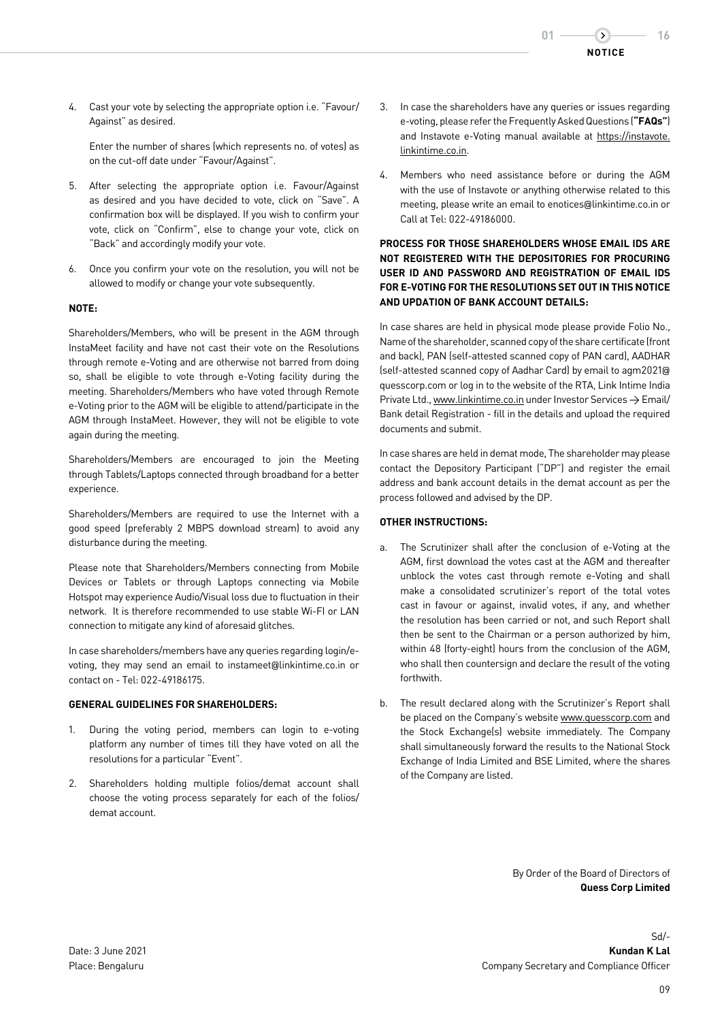

4. Cast your vote by selecting the appropriate option i.e. "Favour/ Against" as desired.

Enter the number of shares (which represents no. of votes) as on the cut-off date under "Favour/Against".

- 5. After selecting the appropriate option i.e. Favour/Against as desired and you have decided to vote, click on "Save". A confirmation box will be displayed. If you wish to confirm your vote, click on "Confirm", else to change your vote, click on "Back" and accordingly modify your vote.
- 6. Once you confirm your vote on the resolution, you will not be allowed to modify or change your vote subsequently.

# **NOTE:**

Shareholders/Members, who will be present in the AGM through InstaMeet facility and have not cast their vote on the Resolutions through remote e-Voting and are otherwise not barred from doing so, shall be eligible to vote through e-Voting facility during the meeting. Shareholders/Members who have voted through Remote e-Voting prior to the AGM will be eligible to attend/participate in the AGM through InstaMeet. However, they will not be eligible to vote again during the meeting.

Shareholders/Members are encouraged to join the Meeting through Tablets/Laptops connected through broadband for a better experience.

Shareholders/Members are required to use the Internet with a good speed (preferably 2 MBPS download stream) to avoid any disturbance during the meeting.

Please note that Shareholders/Members connecting from Mobile Devices or Tablets or through Laptops connecting via Mobile Hotspot may experience Audio/Visual loss due to fluctuation in their network. It is therefore recommended to use stable Wi-FI or LAN connection to mitigate any kind of aforesaid glitches.

In case shareholders/members have any queries regarding login/evoting, they may send an email to instameet@linkintime.co.in or contact on - Tel: 022-49186175.

#### **GENERAL GUIDELINES FOR SHAREHOLDERS:**

- 1. During the voting period, members can login to e-voting platform any number of times till they have voted on all the resolutions for a particular "Event".
- 2. Shareholders holding multiple folios/demat account shall choose the voting process separately for each of the folios/ demat account.
- 3. In case the shareholders have any queries or issues regarding e-voting, please refer the Frequently Asked Questions (**"FAQs"**) and Instavote e-Voting manual available at https://instavote. linkintime.co.in.
- 4. Members who need assistance before or during the AGM with the use of Instavote or anything otherwise related to this meeting, please write an email to enotices@linkintime.co.in or Call at Tel: 022-49186000.

# **PROCESS FOR THOSE SHAREHOLDERS WHOSE EMAIL IDS ARE NOT REGISTERED WITH THE DEPOSITORIES FOR PROCURING USER ID AND PASSWORD AND REGISTRATION OF EMAIL IDS FOR E-VOTING FOR THE RESOLUTIONS SET OUT IN THIS NOTICE AND UPDATION OF BANK ACCOUNT DETAILS:**

In case shares are held in physical mode please provide Folio No., Name of the shareholder, scanned copy of the share certificate (front and back), PAN (self-attested scanned copy of PAN card), AADHAR (self-attested scanned copy of Aadhar Card) by email to agm2021@ quesscorp.com or log in to the website of the RTA, Link Intime India Private Ltd., www.linkintime.co.in under Investor Services  $\rightarrow$  Email/ Bank detail Registration - fill in the details and upload the required documents and submit.

In case shares are held in demat mode, The shareholder may please contact the Depository Participant ("DP") and register the email address and bank account details in the demat account as per the process followed and advised by the DP.

#### **OTHER INSTRUCTIONS:**

- The Scrutinizer shall after the conclusion of e-Voting at the AGM, first download the votes cast at the AGM and thereafter unblock the votes cast through remote e-Voting and shall make a consolidated scrutinizer's report of the total votes cast in favour or against, invalid votes, if any, and whether the resolution has been carried or not, and such Report shall then be sent to the Chairman or a person authorized by him, within 48 (forty-eight) hours from the conclusion of the AGM, who shall then countersign and declare the result of the voting forthwith.
- b. The result declared along with the Scrutinizer's Report shall be placed on the Company's website www.quesscorp.com and the Stock Exchange(s) website immediately. The Company shall simultaneously forward the results to the National Stock Exchange of India Limited and BSE Limited, where the shares of the Company are listed.

By Order of the Board of Directors of **Quess Corp Limited**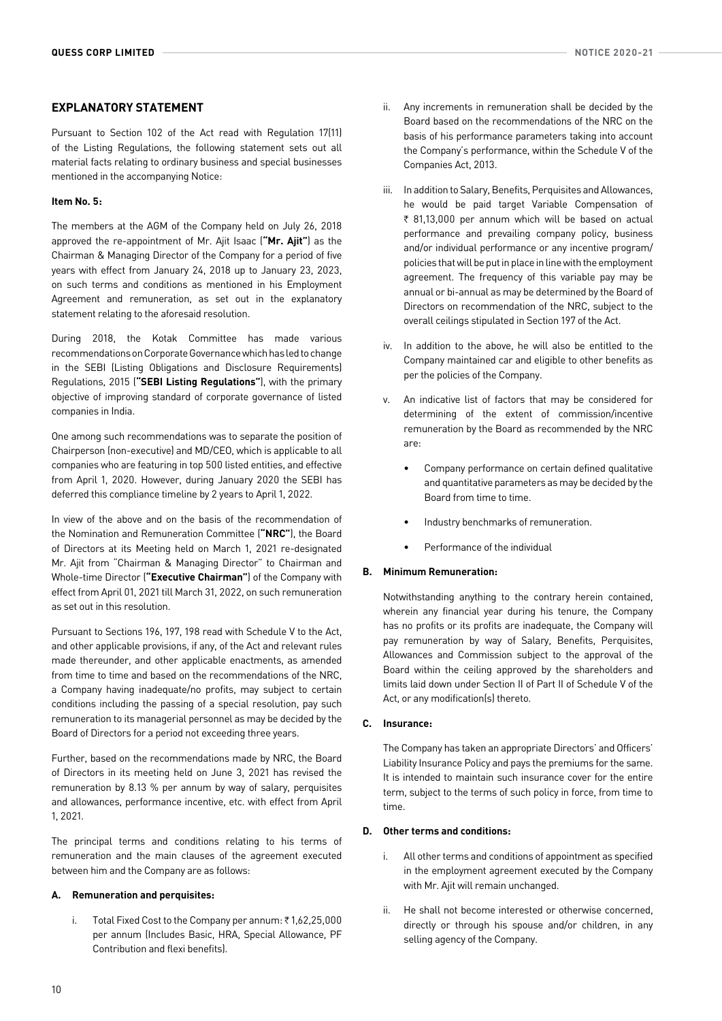# **EXPLANATORY STATEMENT**

Pursuant to Section 102 of the Act read with Regulation 17(11) of the Listing Regulations, the following statement sets out all material facts relating to ordinary business and special businesses mentioned in the accompanying Notice:

## **Item No. 5:**

The members at the AGM of the Company held on July 26, 2018 approved the re-appointment of Mr. Ajit Isaac (**"Mr. Ajit"**) as the Chairman & Managing Director of the Company for a period of five years with effect from January 24, 2018 up to January 23, 2023, on such terms and conditions as mentioned in his Employment Agreement and remuneration, as set out in the explanatory statement relating to the aforesaid resolution.

During 2018, the Kotak Committee has made various recommendations on Corporate Governance which has led to change in the SEBI (Listing Obligations and Disclosure Requirements) Regulations, 2015 (**"SEBI Listing Regulations"**), with the primary objective of improving standard of corporate governance of listed companies in India.

One among such recommendations was to separate the position of Chairperson (non-executive) and MD/CEO, which is applicable to all companies who are featuring in top 500 listed entities, and effective from April 1, 2020. However, during January 2020 the SEBI has deferred this compliance timeline by 2 years to April 1, 2022.

In view of the above and on the basis of the recommendation of the Nomination and Remuneration Committee (**"NRC"**), the Board of Directors at its Meeting held on March 1, 2021 re-designated Mr. Ajit from "Chairman & Managing Director" to Chairman and Whole-time Director (**"Executive Chairman"**) of the Company with effect from April 01, 2021 till March 31, 2022, on such remuneration as set out in this resolution.

Pursuant to Sections 196, 197, 198 read with Schedule V to the Act, and other applicable provisions, if any, of the Act and relevant rules made thereunder, and other applicable enactments, as amended from time to time and based on the recommendations of the NRC, a Company having inadequate/no profits, may subject to certain conditions including the passing of a special resolution, pay such remuneration to its managerial personnel as may be decided by the Board of Directors for a period not exceeding three years.

Further, based on the recommendations made by NRC, the Board of Directors in its meeting held on June 3, 2021 has revised the remuneration by 8.13 % per annum by way of salary, perquisites and allowances, performance incentive, etc. with effect from April 1, 2021.

The principal terms and conditions relating to his terms of remuneration and the main clauses of the agreement executed between him and the Company are as follows:

## **A. Remuneration and perquisites:**

i. Total Fixed Cost to the Company per annum:  $\bar{\tau}$  1,62,25,000 per annum (Includes Basic, HRA, Special Allowance, PF Contribution and flexi benefits).

- ii. Any increments in remuneration shall be decided by the Board based on the recommendations of the NRC on the basis of his performance parameters taking into account the Company's performance, within the Schedule V of the Companies Act, 2013.
- iii. In addition to Salary, Benefits, Perquisites and Allowances, he would be paid target Variable Compensation of  $\bar{\tau}$  81,13,000 per annum which will be based on actual performance and prevailing company policy, business and/or individual performance or any incentive program/ policies that will be put in place in line with the employment agreement. The frequency of this variable pay may be annual or bi-annual as may be determined by the Board of Directors on recommendation of the NRC, subject to the overall ceilings stipulated in Section 197 of the Act.
- iv. In addition to the above, he will also be entitled to the Company maintained car and eligible to other benefits as per the policies of the Company.
- v. An indicative list of factors that may be considered for determining of the extent of commission/incentive remuneration by the Board as recommended by the NRC are:
	- Company performance on certain defined qualitative and quantitative parameters as may be decided by the Board from time to time.
	- Industry benchmarks of remuneration.
	- Performance of the individual

## **B. Minimum Remuneration:**

Notwithstanding anything to the contrary herein contained, wherein any financial year during his tenure, the Company has no profits or its profits are inadequate, the Company will pay remuneration by way of Salary, Benefits, Perquisites, Allowances and Commission subject to the approval of the Board within the ceiling approved by the shareholders and limits laid down under Section II of Part II of Schedule V of the Act, or any modification(s) thereto.

## **C. Insurance:**

The Company has taken an appropriate Directors' and Officers' Liability Insurance Policy and pays the premiums for the same. It is intended to maintain such insurance cover for the entire term, subject to the terms of such policy in force, from time to time.

# **D. Other terms and conditions:**

- i. All other terms and conditions of appointment as specified in the employment agreement executed by the Company with Mr. Ajit will remain unchanged.
- ii. He shall not become interested or otherwise concerned, directly or through his spouse and/or children, in any selling agency of the Company.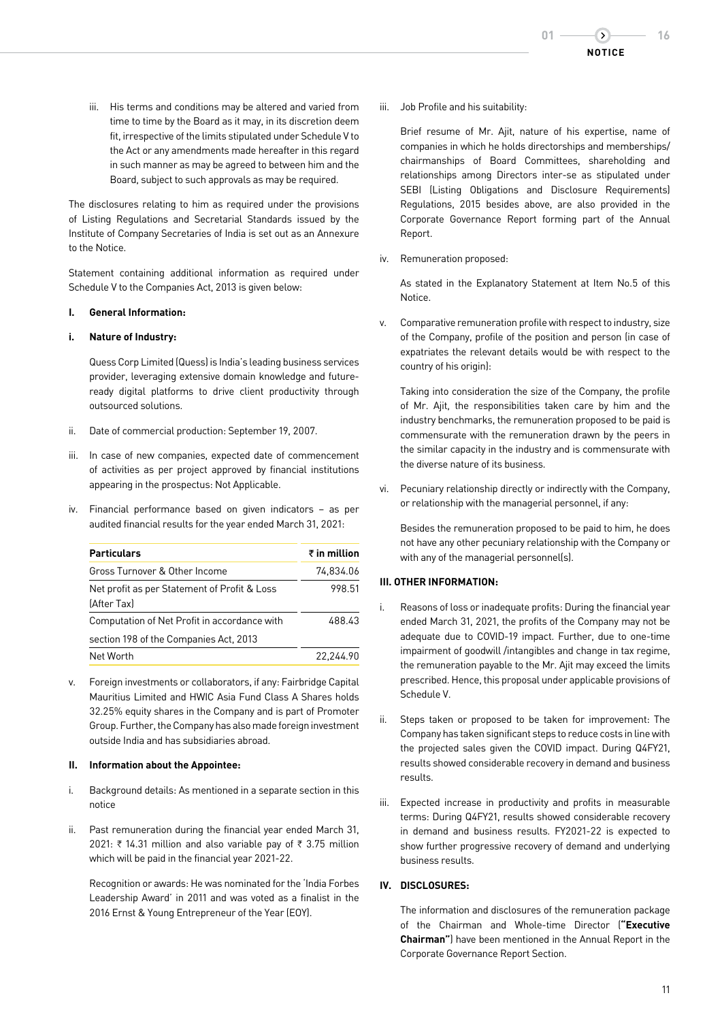iii. His terms and conditions may be altered and varied from time to time by the Board as it may, in its discretion deem fit, irrespective of the limits stipulated under Schedule V to the Act or any amendments made hereafter in this regard in such manner as may be agreed to between him and the Board, subject to such approvals as may be required.

The disclosures relating to him as required under the provisions of Listing Regulations and Secretarial Standards issued by the Institute of Company Secretaries of India is set out as an Annexure to the Notice.

Statement containing additional information as required under Schedule V to the Companies Act, 2013 is given below:

## **I. General Information:**

# **i. Nature of Industry:**

Quess Corp Limited (Quess) is India's leading business services provider, leveraging extensive domain knowledge and futureready digital platforms to drive client productivity through outsourced solutions.

- ii. Date of commercial production: September 19, 2007.
- iii. In case of new companies, expected date of commencement of activities as per project approved by financial institutions appearing in the prospectus: Not Applicable.
- iv. Financial performance based on given indicators as per audited financial results for the year ended March 31, 2021:

| <b>Particulars</b>                                          | $\bar{\tau}$ in million |
|-------------------------------------------------------------|-------------------------|
| Gross Turnover & Other Income                               | 74.834.06               |
| Net profit as per Statement of Profit & Loss<br>(After Tax) | 998.51                  |
| Computation of Net Profit in accordance with                | 488.43                  |
| section 198 of the Companies Act, 2013                      |                         |
| Net Worth                                                   | 22.244.90               |

v. Foreign investments or collaborators, if any: Fairbridge Capital Mauritius Limited and HWIC Asia Fund Class A Shares holds 32.25% equity shares in the Company and is part of Promoter Group. Further, the Company has also made foreign investment outside India and has subsidiaries abroad.

## **II. Information about the Appointee:**

- i. Background details: As mentioned in a separate section in this notice
- ii. Past remuneration during the financial year ended March 31, 2021: ₹ 14.31 million and also variable pay of ₹ 3.75 million which will be paid in the financial year 2021-22.

Recognition or awards: He was nominated for the 'India Forbes Leadership Award' in 2011 and was voted as a finalist in the 2016 Ernst & Young Entrepreneur of the Year (EOY).

iii. Job Profile and his suitability:

Brief resume of Mr. Ajit, nature of his expertise, name of companies in which he holds directorships and memberships/ chairmanships of Board Committees, shareholding and relationships among Directors inter-se as stipulated under SEBI (Listing Obligations and Disclosure Requirements) Regulations, 2015 besides above, are also provided in the Corporate Governance Report forming part of the Annual Report.

iv. Remuneration proposed:

As stated in the Explanatory Statement at Item No.5 of this Notice.

v. Comparative remuneration profile with respect to industry, size of the Company, profile of the position and person (in case of expatriates the relevant details would be with respect to the country of his origin):

Taking into consideration the size of the Company, the profile of Mr. Ajit, the responsibilities taken care by him and the industry benchmarks, the remuneration proposed to be paid is commensurate with the remuneration drawn by the peers in the similar capacity in the industry and is commensurate with the diverse nature of its business.

vi. Pecuniary relationship directly or indirectly with the Company, or relationship with the managerial personnel, if any:

Besides the remuneration proposed to be paid to him, he does not have any other pecuniary relationship with the Company or with any of the managerial personnel(s).

## **III. OTHER INFORMATION:**

- i. Reasons of loss or inadequate profits: During the financial year ended March 31, 2021, the profits of the Company may not be adequate due to COVID-19 impact. Further, due to one-time impairment of goodwill /intangibles and change in tax regime, the remuneration payable to the Mr. Ajit may exceed the limits prescribed. Hence, this proposal under applicable provisions of Schedule V.
- ii. Steps taken or proposed to be taken for improvement: The Company has taken significant steps to reduce costs in line with the projected sales given the COVID impact. During Q4FY21, results showed considerable recovery in demand and business results.
- iii. Expected increase in productivity and profits in measurable terms: During Q4FY21, results showed considerable recovery in demand and business results. FY2021-22 is expected to show further progressive recovery of demand and underlying business results.

# **IV. DISCLOSURES:**

The information and disclosures of the remuneration package of the Chairman and Whole-time Director (**"Executive Chairman"**) have been mentioned in the Annual Report in the Corporate Governance Report Section.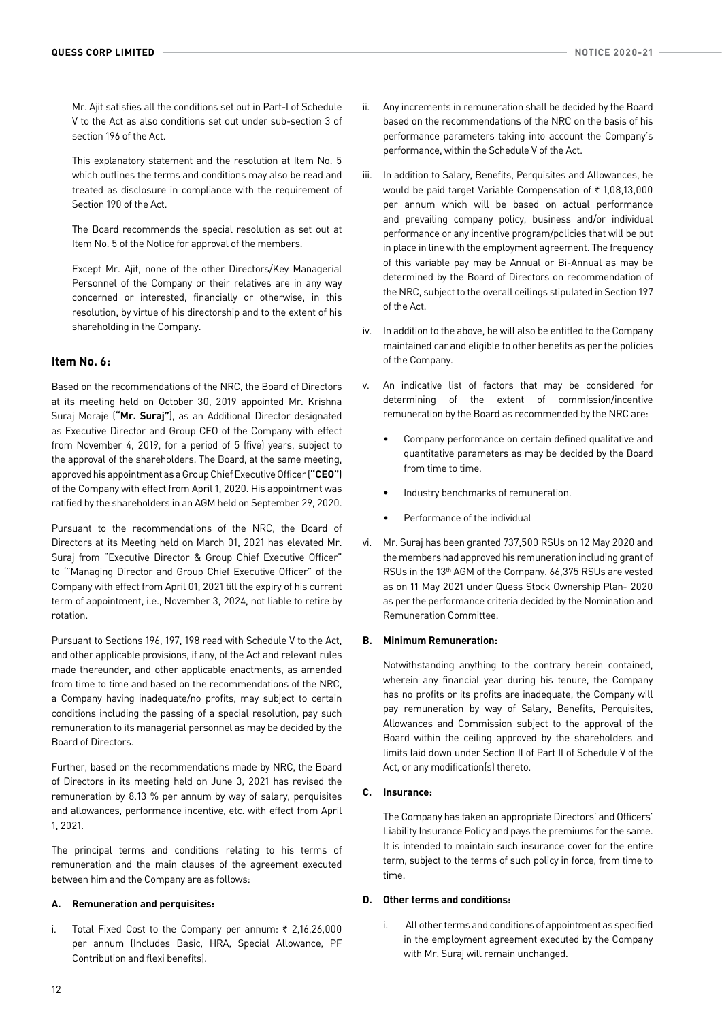Mr. Ajit satisfies all the conditions set out in Part-I of Schedule V to the Act as also conditions set out under sub-section 3 of section 196 of the Act.

This explanatory statement and the resolution at Item No. 5 which outlines the terms and conditions may also be read and treated as disclosure in compliance with the requirement of Section 190 of the Act.

The Board recommends the special resolution as set out at Item No. 5 of the Notice for approval of the members.

Except Mr. Ajit, none of the other Directors/Key Managerial Personnel of the Company or their relatives are in any way concerned or interested, financially or otherwise, in this resolution, by virtue of his directorship and to the extent of his shareholding in the Company.

## **Item No. 6:**

Based on the recommendations of the NRC, the Board of Directors at its meeting held on October 30, 2019 appointed Mr. Krishna Suraj Moraje (**"Mr. Suraj"**), as an Additional Director designated as Executive Director and Group CEO of the Company with effect from November 4, 2019, for a period of 5 (five) years, subject to the approval of the shareholders. The Board, at the same meeting, approved his appointment as a Group Chief Executive Officer (**"CEO"**) of the Company with effect from April 1, 2020. His appointment was ratified by the shareholders in an AGM held on September 29, 2020.

Pursuant to the recommendations of the NRC, the Board of Directors at its Meeting held on March 01, 2021 has elevated Mr. Suraj from "Executive Director & Group Chief Executive Officer" to '"Managing Director and Group Chief Executive Officer" of the Company with effect from April 01, 2021 till the expiry of his current term of appointment, i.e., November 3, 2024, not liable to retire by rotation.

Pursuant to Sections 196, 197, 198 read with Schedule V to the Act, and other applicable provisions, if any, of the Act and relevant rules made thereunder, and other applicable enactments, as amended from time to time and based on the recommendations of the NRC, a Company having inadequate/no profits, may subject to certain conditions including the passing of a special resolution, pay such remuneration to its managerial personnel as may be decided by the Board of Directors.

Further, based on the recommendations made by NRC, the Board of Directors in its meeting held on June 3, 2021 has revised the remuneration by 8.13 % per annum by way of salary, perquisites and allowances, performance incentive, etc. with effect from April 1, 2021.

The principal terms and conditions relating to his terms of remuneration and the main clauses of the agreement executed between him and the Company are as follows:

#### **A. Remuneration and perquisites:**

i. Total Fixed Cost to the Company per annum:  $\bar{\tau}$  2,16,26,000 per annum (Includes Basic, HRA, Special Allowance, PF Contribution and flexi benefits).

- ii. Any increments in remuneration shall be decided by the Board based on the recommendations of the NRC on the basis of his performance parameters taking into account the Company's performance, within the Schedule V of the Act.
- iii. In addition to Salary, Benefits, Perquisites and Allowances, he would be paid target Variable Compensation of  $\bar{\tau}$  1,08,13,000 per annum which will be based on actual performance and prevailing company policy, business and/or individual performance or any incentive program/policies that will be put in place in line with the employment agreement. The frequency of this variable pay may be Annual or Bi-Annual as may be determined by the Board of Directors on recommendation of the NRC, subject to the overall ceilings stipulated in Section 197 of the Act.
- iv. In addition to the above, he will also be entitled to the Company maintained car and eligible to other benefits as per the policies of the Company.
- v. An indicative list of factors that may be considered for determining of the extent of commission/incentive remuneration by the Board as recommended by the NRC are:
	- Company performance on certain defined qualitative and quantitative parameters as may be decided by the Board from time to time.
	- Industry benchmarks of remuneration.
	- Performance of the individual
- vi. Mr. Suraj has been granted 737,500 RSUs on 12 May 2020 and the members had approved his remuneration including grant of RSUs in the 13th AGM of the Company. 66,375 RSUs are vested as on 11 May 2021 under Quess Stock Ownership Plan- 2020 as per the performance criteria decided by the Nomination and Remuneration Committee.

## **B. Minimum Remuneration:**

Notwithstanding anything to the contrary herein contained, wherein any financial year during his tenure, the Company has no profits or its profits are inadequate, the Company will pay remuneration by way of Salary, Benefits, Perquisites, Allowances and Commission subject to the approval of the Board within the ceiling approved by the shareholders and limits laid down under Section II of Part II of Schedule V of the Act, or any modification(s) thereto.

## **C. Insurance:**

The Company has taken an appropriate Directors' and Officers' Liability Insurance Policy and pays the premiums for the same. It is intended to maintain such insurance cover for the entire term, subject to the terms of such policy in force, from time to time.

## **D. Other terms and conditions:**

i. All other terms and conditions of appointment as specified in the employment agreement executed by the Company with Mr. Suraj will remain unchanged.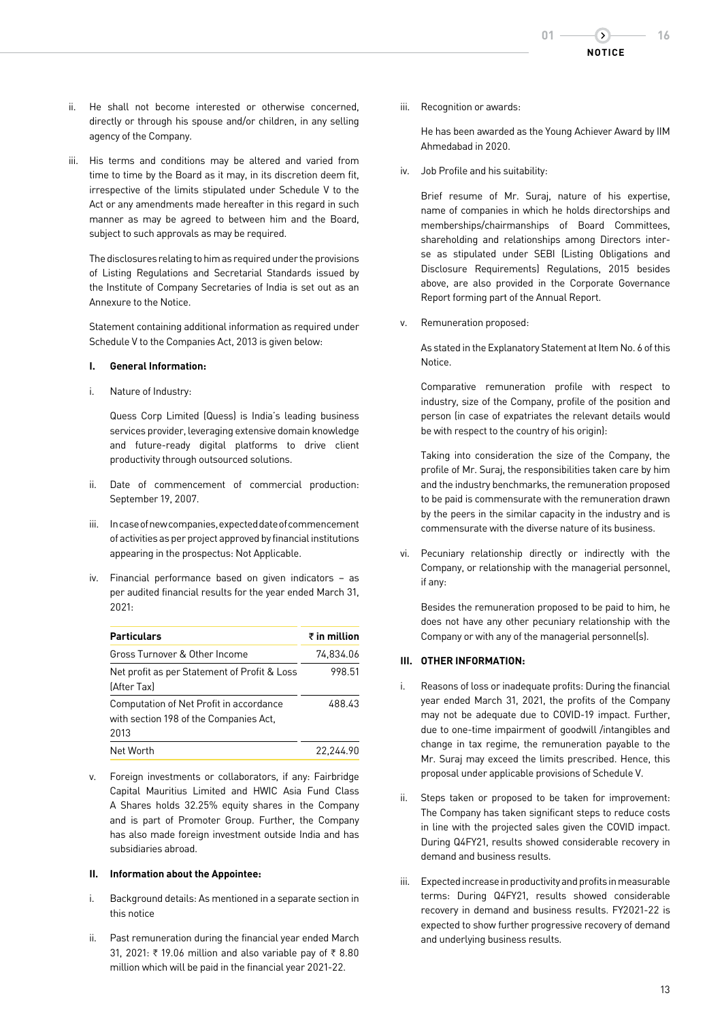- ii. He shall not become interested or otherwise concerned, directly or through his spouse and/or children, in any selling agency of the Company.
- iii. His terms and conditions may be altered and varied from time to time by the Board as it may, in its discretion deem fit, irrespective of the limits stipulated under Schedule V to the Act or any amendments made hereafter in this regard in such manner as may be agreed to between him and the Board, subject to such approvals as may be required.

The disclosures relating to him as required under the provisions of Listing Regulations and Secretarial Standards issued by the Institute of Company Secretaries of India is set out as an Annexure to the Notice.

Statement containing additional information as required under Schedule V to the Companies Act, 2013 is given below:

### **I. General Information:**

i. Nature of Industry:

 Quess Corp Limited (Quess) is India's leading business services provider, leveraging extensive domain knowledge and future-ready digital platforms to drive client productivity through outsourced solutions.

- ii. Date of commencement of commercial production: September 19, 2007.
- iii. In case of new companies, expected date of commencement of activities as per project approved by financial institutions appearing in the prospectus: Not Applicable.
- iv. Financial performance based on given indicators as per audited financial results for the year ended March 31, 2021:

| <b>Particulars</b>                                                                        | $\bar{\tau}$ in million |
|-------------------------------------------------------------------------------------------|-------------------------|
| Gross Turnover & Other Income                                                             | 74.834.06               |
| Net profit as per Statement of Profit & Loss<br>[After Tax]                               | 998.51                  |
| Computation of Net Profit in accordance<br>with section 198 of the Companies Act,<br>2013 | 488.43                  |
| Net Worth                                                                                 | 22.244.90               |

v. Foreign investments or collaborators, if any: Fairbridge Capital Mauritius Limited and HWIC Asia Fund Class A Shares holds 32.25% equity shares in the Company and is part of Promoter Group. Further, the Company has also made foreign investment outside India and has subsidiaries abroad.

## **II. Information about the Appointee:**

- i. Background details: As mentioned in a separate section in this notice
- ii. Past remuneration during the financial year ended March 31, 2021: ₹ 19.06 million and also variable pay of ₹ 8.80 million which will be paid in the financial year 2021-22.

iii. Recognition or awards:

 He has been awarded as the Young Achiever Award by IIM Ahmedabad in 2020.

iv. Job Profile and his suitability:

 Brief resume of Mr. Suraj, nature of his expertise, name of companies in which he holds directorships and memberships/chairmanships of Board Committees, shareholding and relationships among Directors interse as stipulated under SEBI (Listing Obligations and Disclosure Requirements) Regulations, 2015 besides above, are also provided in the Corporate Governance Report forming part of the Annual Report.

v. Remuneration proposed:

 As stated in the Explanatory Statement at Item No. 6 of this Notice.

 Comparative remuneration profile with respect to industry, size of the Company, profile of the position and person (in case of expatriates the relevant details would be with respect to the country of his origin):

 Taking into consideration the size of the Company, the profile of Mr. Suraj, the responsibilities taken care by him and the industry benchmarks, the remuneration proposed to be paid is commensurate with the remuneration drawn by the peers in the similar capacity in the industry and is commensurate with the diverse nature of its business.

vi. Pecuniary relationship directly or indirectly with the Company, or relationship with the managerial personnel, if any:

 Besides the remuneration proposed to be paid to him, he does not have any other pecuniary relationship with the Company or with any of the managerial personnel(s).

## **III. OTHER INFORMATION:**

- i. Reasons of loss or inadequate profits: During the financial year ended March 31, 2021, the profits of the Company may not be adequate due to COVID-19 impact. Further, due to one-time impairment of goodwill /intangibles and change in tax regime, the remuneration payable to the Mr. Suraj may exceed the limits prescribed. Hence, this proposal under applicable provisions of Schedule V.
- ii. Steps taken or proposed to be taken for improvement: The Company has taken significant steps to reduce costs in line with the projected sales given the COVID impact. During Q4FY21, results showed considerable recovery in demand and business results.
- iii. Expected increase in productivity and profits in measurable terms: During Q4FY21, results showed considerable recovery in demand and business results. FY2021-22 is expected to show further progressive recovery of demand and underlying business results.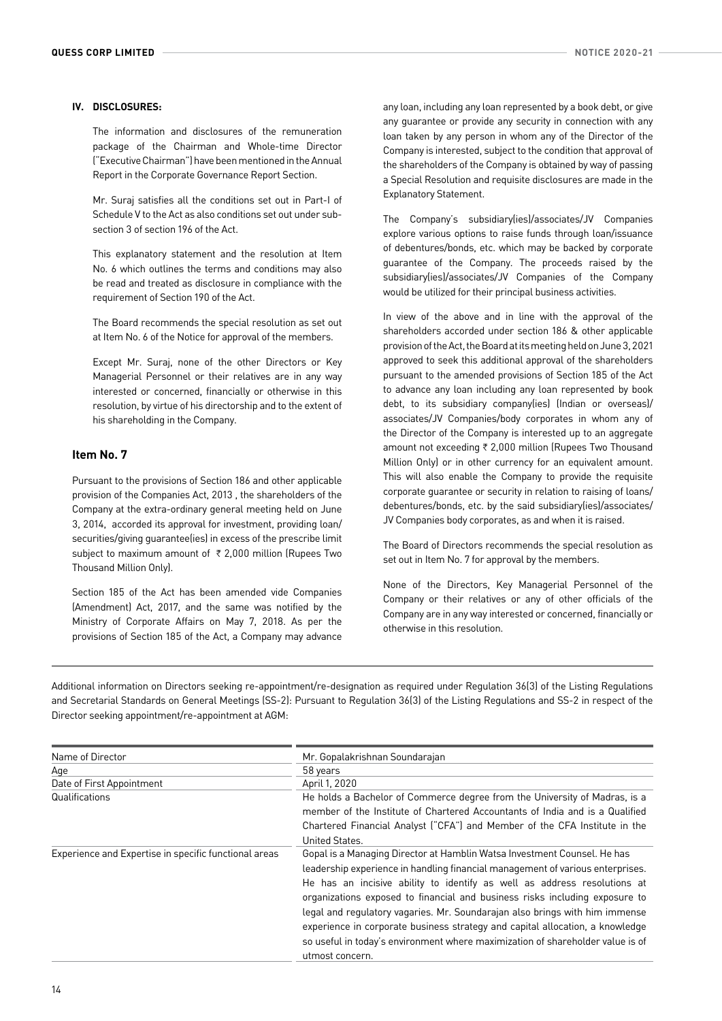## **IV. DISCLOSURES:**

 The information and disclosures of the remuneration package of the Chairman and Whole-time Director ("Executive Chairman") have been mentioned in the Annual Report in the Corporate Governance Report Section.

 Mr. Suraj satisfies all the conditions set out in Part-I of Schedule V to the Act as also conditions set out under subsection 3 of section 196 of the Act.

 This explanatory statement and the resolution at Item No. 6 which outlines the terms and conditions may also be read and treated as disclosure in compliance with the requirement of Section 190 of the Act.

 The Board recommends the special resolution as set out at Item No. 6 of the Notice for approval of the members.

 Except Mr. Suraj, none of the other Directors or Key Managerial Personnel or their relatives are in any way interested or concerned, financially or otherwise in this resolution, by virtue of his directorship and to the extent of his shareholding in the Company.

# **Item No. 7**

Pursuant to the provisions of Section 186 and other applicable provision of the Companies Act, 2013 , the shareholders of the Company at the extra-ordinary general meeting held on June 3, 2014, accorded its approval for investment, providing loan/ securities/giving guarantee(ies) in excess of the prescribe limit subject to maximum amount of  $\bar{\tau}$  2,000 million (Rupees Two Thousand Million Only).

Section 185 of the Act has been amended vide Companies (Amendment) Act, 2017, and the same was notified by the Ministry of Corporate Affairs on May 7, 2018. As per the provisions of Section 185 of the Act, a Company may advance

any loan, including any loan represented by a book debt, or give any guarantee or provide any security in connection with any loan taken by any person in whom any of the Director of the Company is interested, subject to the condition that approval of the shareholders of the Company is obtained by way of passing a Special Resolution and requisite disclosures are made in the Explanatory Statement.

The Company's subsidiary(ies)/associates/JV Companies explore various options to raise funds through loan/issuance of debentures/bonds, etc. which may be backed by corporate guarantee of the Company. The proceeds raised by the subsidiary(ies)/associates/JV Companies of the Company would be utilized for their principal business activities.

In view of the above and in line with the approval of the shareholders accorded under section 186 & other applicable provision of the Act, the Board at its meeting held on June 3, 2021 approved to seek this additional approval of the shareholders pursuant to the amended provisions of Section 185 of the Act to advance any loan including any loan represented by book debt, to its subsidiary company(ies) (Indian or overseas)/ associates/JV Companies/body corporates in whom any of the Director of the Company is interested up to an aggregate amount not exceeding  $\bar{\tau}$  2,000 million (Rupees Two Thousand Million Only) or in other currency for an equivalent amount. This will also enable the Company to provide the requisite corporate guarantee or security in relation to raising of loans/ debentures/bonds, etc. by the said subsidiary(ies)/associates/ JV Companies body corporates, as and when it is raised.

The Board of Directors recommends the special resolution as set out in Item No. 7 for approval by the members.

None of the Directors, Key Managerial Personnel of the Company or their relatives or any of other officials of the Company are in any way interested or concerned, financially or otherwise in this resolution.

Additional information on Directors seeking re-appointment/re-designation as required under Regulation 36(3) of the Listing Regulations and Secretarial Standards on General Meetings (SS-2): Pursuant to Regulation 36(3) of the Listing Regulations and SS-2 in respect of the Director seeking appointment/re-appointment at AGM:

| Name of Director                                      | Mr. Gopalakrishnan Soundarajan                                                                                                                                                                                                                                                                                                                                                                                                                                                                                                                                                             |
|-------------------------------------------------------|--------------------------------------------------------------------------------------------------------------------------------------------------------------------------------------------------------------------------------------------------------------------------------------------------------------------------------------------------------------------------------------------------------------------------------------------------------------------------------------------------------------------------------------------------------------------------------------------|
| Age                                                   | 58 years                                                                                                                                                                                                                                                                                                                                                                                                                                                                                                                                                                                   |
| Date of First Appointment                             | April 1, 2020                                                                                                                                                                                                                                                                                                                                                                                                                                                                                                                                                                              |
| Qualifications                                        | He holds a Bachelor of Commerce degree from the University of Madras, is a<br>member of the Institute of Chartered Accountants of India and is a Qualified                                                                                                                                                                                                                                                                                                                                                                                                                                 |
|                                                       | Chartered Financial Analyst ("CFA") and Member of the CFA Institute in the<br>United States.                                                                                                                                                                                                                                                                                                                                                                                                                                                                                               |
| Experience and Expertise in specific functional areas | Gopal is a Managing Director at Hamblin Watsa Investment Counsel. He has<br>leadership experience in handling financial management of various enterprises.<br>He has an incisive ability to identify as well as address resolutions at<br>organizations exposed to financial and business risks including exposure to<br>legal and regulatory vagaries. Mr. Soundarajan also brings with him immense<br>experience in corporate business strategy and capital allocation, a knowledge<br>so useful in today's environment where maximization of shareholder value is of<br>utmost concern. |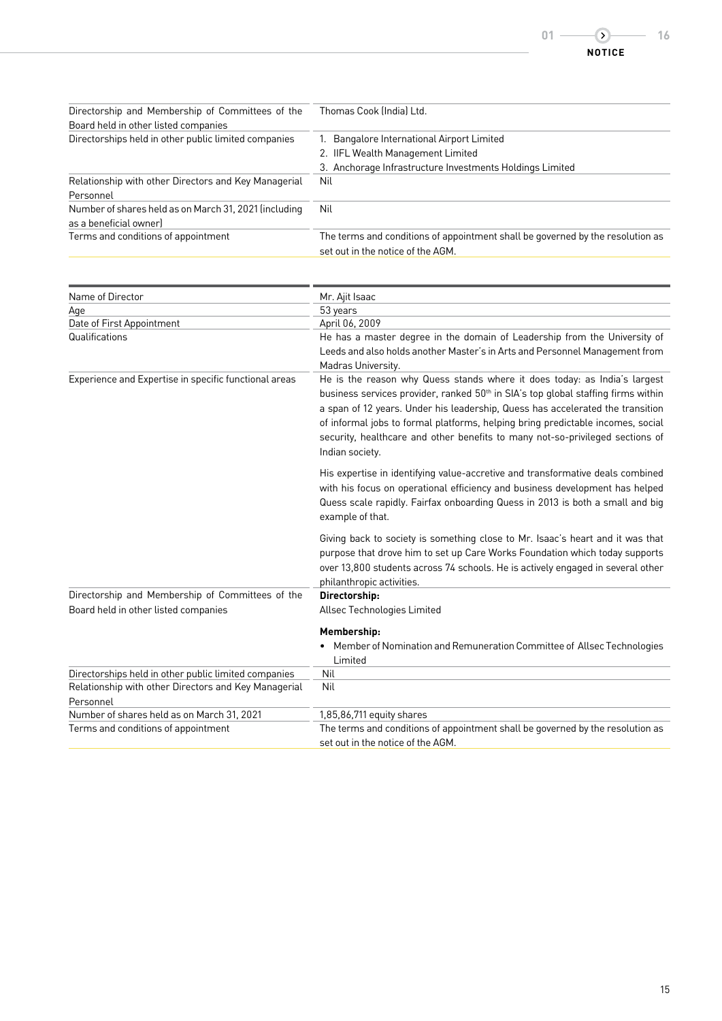| Directorship and Membership of Committees of the      | Thomas Cook (India) Ltd.                                                       |
|-------------------------------------------------------|--------------------------------------------------------------------------------|
| Board held in other listed companies                  |                                                                                |
| Directorships held in other public limited companies  | 1. Bangalore International Airport Limited                                     |
|                                                       | 2. IIFL Wealth Management Limited                                              |
|                                                       | 3. Anchorage Infrastructure Investments Holdings Limited                       |
| Relationship with other Directors and Key Managerial  | Nil                                                                            |
| Personnel                                             |                                                                                |
| Number of shares held as on March 31, 2021 (including | Nil                                                                            |
| as a beneficial owner                                 |                                                                                |
| Terms and conditions of appointment                   | The terms and conditions of appointment shall be governed by the resolution as |
|                                                       | set out in the notice of the AGM.                                              |

| Name of Director                                      | Mr. Ajit Isaac                                                                                                                                                                                                                                                                                                                                                                                                                                      |
|-------------------------------------------------------|-----------------------------------------------------------------------------------------------------------------------------------------------------------------------------------------------------------------------------------------------------------------------------------------------------------------------------------------------------------------------------------------------------------------------------------------------------|
| Age                                                   | 53 years                                                                                                                                                                                                                                                                                                                                                                                                                                            |
| Date of First Appointment                             | April 06, 2009                                                                                                                                                                                                                                                                                                                                                                                                                                      |
| Qualifications                                        | He has a master degree in the domain of Leadership from the University of<br>Leeds and also holds another Master's in Arts and Personnel Management from<br>Madras University.                                                                                                                                                                                                                                                                      |
| Experience and Expertise in specific functional areas | He is the reason why Quess stands where it does today: as India's largest<br>business services provider, ranked 50 <sup>th</sup> in SIA's top global staffing firms within<br>a span of 12 years. Under his leadership, Quess has accelerated the transition<br>of informal jobs to formal platforms, helping bring predictable incomes, social<br>security, healthcare and other benefits to many not-so-privileged sections of<br>Indian society. |
|                                                       | His expertise in identifying value-accretive and transformative deals combined<br>with his focus on operational efficiency and business development has helped<br>Quess scale rapidly. Fairfax onboarding Quess in 2013 is both a small and big<br>example of that.                                                                                                                                                                                 |
|                                                       | Giving back to society is something close to Mr. Isaac's heart and it was that<br>purpose that drove him to set up Care Works Foundation which today supports<br>over 13,800 students across 74 schools. He is actively engaged in several other<br>philanthropic activities.                                                                                                                                                                       |
| Directorship and Membership of Committees of the      | Directorship:                                                                                                                                                                                                                                                                                                                                                                                                                                       |
| Board held in other listed companies                  | Allsec Technologies Limited                                                                                                                                                                                                                                                                                                                                                                                                                         |
|                                                       | Membership:                                                                                                                                                                                                                                                                                                                                                                                                                                         |
|                                                       | Member of Nomination and Remuneration Committee of Allsec Technologies<br>Limited                                                                                                                                                                                                                                                                                                                                                                   |
| Directorships held in other public limited companies  | Nil                                                                                                                                                                                                                                                                                                                                                                                                                                                 |
| Relationship with other Directors and Key Managerial  | Nil                                                                                                                                                                                                                                                                                                                                                                                                                                                 |
| Personnel                                             |                                                                                                                                                                                                                                                                                                                                                                                                                                                     |
| Number of shares held as on March 31, 2021            | 1,85,86,711 equity shares                                                                                                                                                                                                                                                                                                                                                                                                                           |
| Terms and conditions of appointment                   | The terms and conditions of appointment shall be governed by the resolution as                                                                                                                                                                                                                                                                                                                                                                      |
|                                                       | set out in the notice of the AGM.                                                                                                                                                                                                                                                                                                                                                                                                                   |